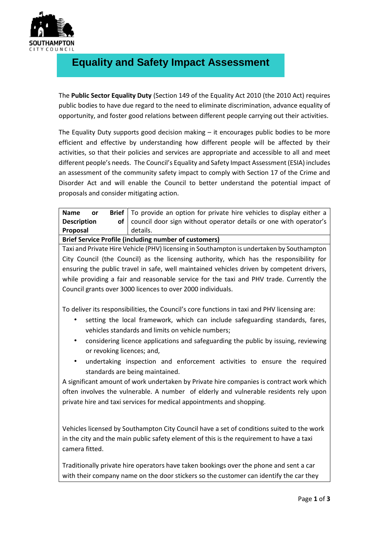

## **Equality and Safety Impact Assessment**

The **Public Sector Equality Duty** (Section 149 of the Equality Act 2010 (the 2010 Act) requires public bodies to have due regard to the need to eliminate discrimination, advance equality of opportunity, and foster good relations between different people carrying out their activities.

The Equality Duty supports good decision making – it encourages public bodies to be more efficient and effective by understanding how different people will be affected by their activities, so that their policies and services are appropriate and accessible to all and meet different people's needs. The Council's Equality and Safety Impact Assessment (ESIA) includes an assessment of the community safety impact to comply with Section 17 of the Crime and Disorder Act and will enable the Council to better understand the potential impact of proposals and consider mitigating action.

| <b>Name</b><br><b>or</b>                                     |  | <b>Brief</b> To provide an option for private hire vehicles to display either a |  |  |
|--------------------------------------------------------------|--|---------------------------------------------------------------------------------|--|--|
| <b>Description</b>                                           |  | of council door sign without operator details or one with operator's            |  |  |
| Proposal                                                     |  | details.                                                                        |  |  |
| <b>Brief Service Profile (including number of customers)</b> |  |                                                                                 |  |  |

Taxi and Private Hire Vehicle (PHV) licensing in Southampton is undertaken by Southampton City Council (the Council) as the licensing authority, which has the responsibility for ensuring the public travel in safe, well maintained vehicles driven by competent drivers, while providing a fair and reasonable service for the taxi and PHV trade. Currently the Council grants over 3000 licences to over 2000 individuals.

To deliver its responsibilities, the Council's core functions in taxi and PHV licensing are:

- setting the local framework, which can include safeguarding standards, fares, vehicles standards and limits on vehicle numbers;
- considering licence applications and safeguarding the public by issuing, reviewing or revoking licences; and,
- undertaking inspection and enforcement activities to ensure the required standards are being maintained.

A significant amount of work undertaken by Private hire companies is contract work which often involves the vulnerable. A number of elderly and vulnerable residents rely upon private hire and taxi services for medical appointments and shopping.

Vehicles licensed by Southampton City Council have a set of conditions suited to the work in the city and the main public safety element of this is the requirement to have a taxi camera fitted.

Traditionally private hire operators have taken bookings over the phone and sent a car with their company name on the door stickers so the customer can identify the car they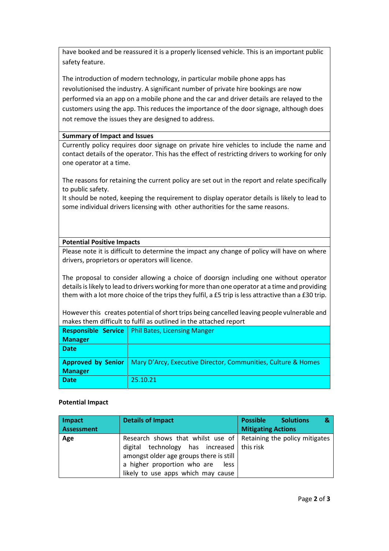have booked and be reassured it is a properly licensed vehicle. This is an important public safety feature.

The introduction of modern technology, in particular mobile phone apps has revolutionised the industry. A significant number of private hire bookings are now performed via an app on a mobile phone and the car and driver details are relayed to the customers using the app. This reduces the importance of the door signage, although does not remove the issues they are designed to address.

## **Summary of Impact and Issues**

Currently policy requires door signage on private hire vehicles to include the name and contact details of the operator. This has the effect of restricting drivers to working for only one operator at a time.

The reasons for retaining the current policy are set out in the report and relate specifically to public safety.

It should be noted, keeping the requirement to display operator details is likely to lead to some individual drivers licensing with other authorities for the same reasons.

## **Potential Positive Impacts**

Please note it is difficult to determine the impact any change of policy will have on where drivers, proprietors or operators will licence.

The proposal to consider allowing a choice of doorsign including one without operator details is likely to lead to drivers working for more than one operator at a time and providing them with a lot more choice of the trips they fulfil, a £5 trip is less attractive than a £30 trip.

However this creates potential of short trips being cancelled leaving people vulnerable and makes them difficult to fulfil as outlined in the attached report

|                           | <b>Responsible Service</b>   Phil Bates, Licensing Manger     |
|---------------------------|---------------------------------------------------------------|
| <b>Manager</b>            |                                                               |
| <b>Date</b>               |                                                               |
|                           |                                                               |
| <b>Approved by Senior</b> | Mary D'Arcy, Executive Director, Communities, Culture & Homes |
| <b>Manager</b>            |                                                               |
| <b>Date</b>               | 25.10.21                                                      |
|                           |                                                               |

## **Potential Impact**

| <b>Impact</b>     | <b>Details of Impact</b>                                                                                                                                                                              | <b>Possible</b><br><b>Solutions</b><br>& |
|-------------------|-------------------------------------------------------------------------------------------------------------------------------------------------------------------------------------------------------|------------------------------------------|
| <b>Assessment</b> |                                                                                                                                                                                                       | <b>Mitigating Actions</b>                |
| Age               | Research shows that whilst use of Retaining the policy mitigates<br>technology has increased   this risk<br>digital<br>amongst older age groups there is still<br>a higher proportion who are<br>less |                                          |
|                   | likely to use apps which may cause                                                                                                                                                                    |                                          |